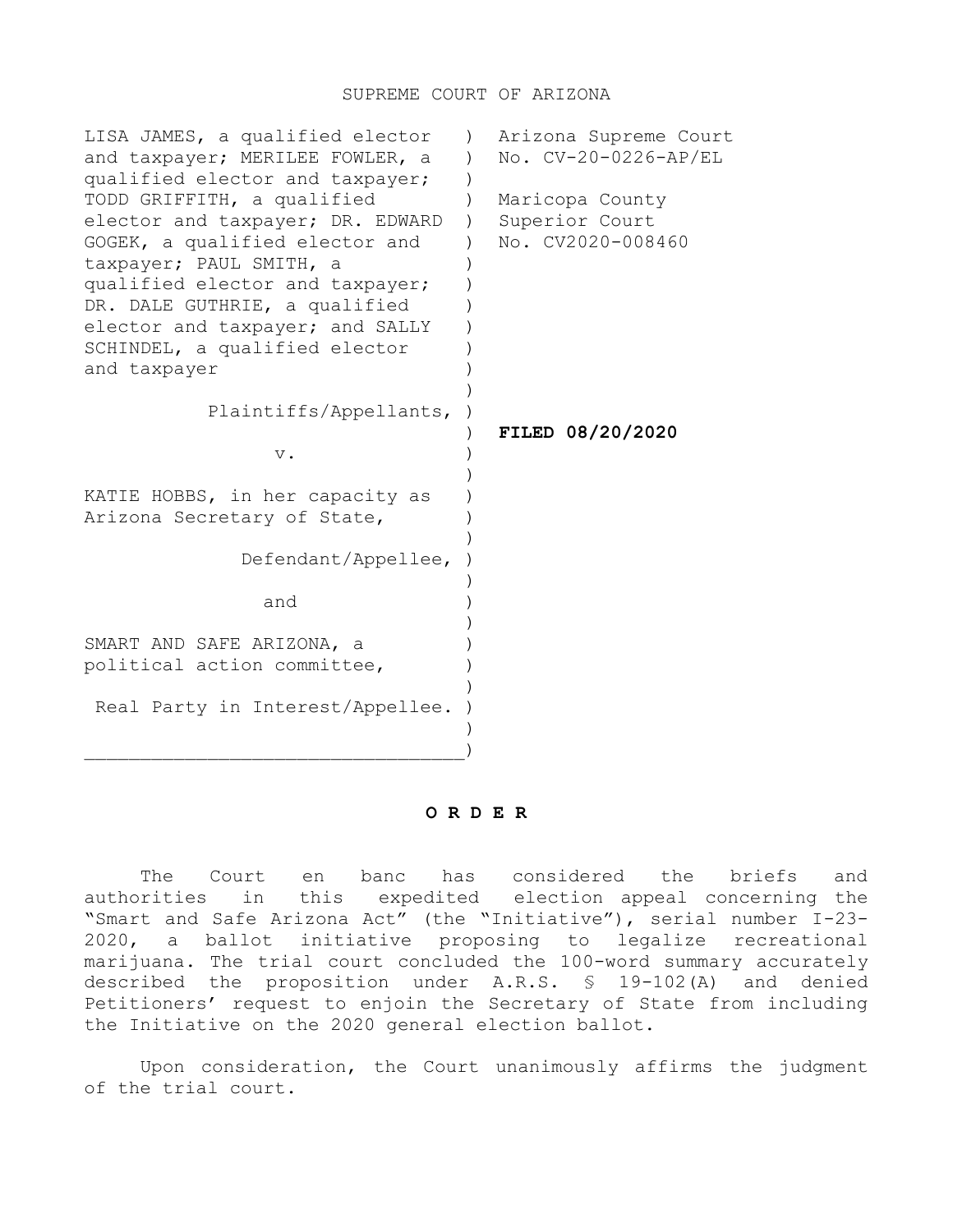## SUPREME COURT OF ARIZONA

| LISA JAMES, a qualified elector<br>and taxpayer; MERILEE FOWLER, a<br>qualified elector and taxpayer;<br>TODD GRIFFITH, a qualified<br>elector and taxpayer; DR. EDWARD<br>GOGEK, a qualified elector and<br>taxpayer; PAUL SMITH, a<br>qualified elector and taxpayer;<br>DR. DALE GUTHRIE, a qualified<br>elector and taxpayer; and SALLY<br>SCHINDEL, a qualified elector | Arizona Supreme Court<br>$\lambda$<br>No. CV-20-0226-AP/EL<br>$\lambda$<br>Maricopa County<br>Superior Court<br>$\overline{)}$<br>No. CV2020-008460 |
|------------------------------------------------------------------------------------------------------------------------------------------------------------------------------------------------------------------------------------------------------------------------------------------------------------------------------------------------------------------------------|-----------------------------------------------------------------------------------------------------------------------------------------------------|
| and taxpayer<br>Plaintiffs/Appellants,<br>$\mathbf v$ .                                                                                                                                                                                                                                                                                                                      | FILED 08/20/2020                                                                                                                                    |
| KATIE HOBBS, in her capacity as<br>Arizona Secretary of State,                                                                                                                                                                                                                                                                                                               |                                                                                                                                                     |
| Defendant/Appellee,                                                                                                                                                                                                                                                                                                                                                          |                                                                                                                                                     |
| and                                                                                                                                                                                                                                                                                                                                                                          |                                                                                                                                                     |
| SMART AND SAFE ARIZONA, a<br>political action committee,                                                                                                                                                                                                                                                                                                                     |                                                                                                                                                     |
| Real Party in Interest/Appellee.                                                                                                                                                                                                                                                                                                                                             |                                                                                                                                                     |

## **O R D E R**

The Court en banc has considered the briefs and authorities in this expedited election appeal concerning the "Smart and Safe Arizona Act" (the "Initiative"), serial number I-23- 2020, a ballot initiative proposing to legalize recreational marijuana. The trial court concluded the 100-word summary accurately described the proposition under A.R.S. § 19-102(A) and denied Petitioners' request to enjoin the Secretary of State from including the Initiative on the 2020 general election ballot.

Upon consideration, the Court unanimously affirms the judgment of the trial court.